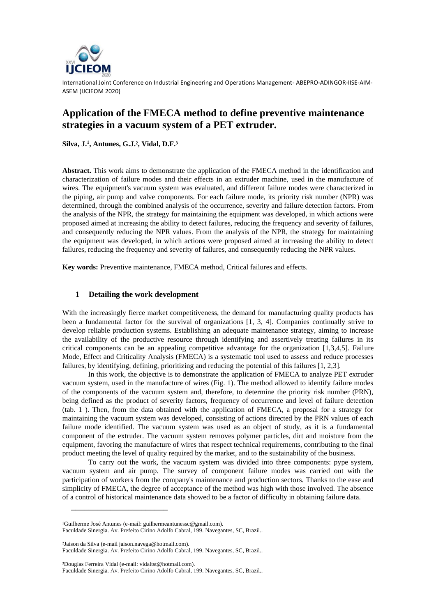

International Joint Conference on Industrial Engineering and Operations Management- ABEPRO-ADINGOR-IISE-AIM-ASEM (IJCIEOM 2020)

## **Application of the FMECA method to define preventive maintenance strategies in a vacuum system of a PET extruder.**

**Silva, J.<sup>1</sup> , Antunes, G.J.², Vidal, D.F.³**

**Abstract.** This work aims to demonstrate the application of the FMECA method in the identification and characterization of failure modes and their effects in an extruder machine, used in the manufacture of wires. The equipment's vacuum system was evaluated, and different failure modes were characterized in the piping, air pump and valve components. For each failure mode, its priority risk number (NPR) was determined, through the combined analysis of the occurrence, severity and failure detection factors. From the analysis of the NPR, the strategy for maintaining the equipment was developed, in which actions were proposed aimed at increasing the ability to detect failures, reducing the frequency and severity of failures, and consequently reducing the NPR values. From the analysis of the NPR, the strategy for maintaining the equipment was developed, in which actions were proposed aimed at increasing the ability to detect failures, reducing the frequency and severity of failures, and consequently reducing the NPR values.

**Key words:** Preventive maintenance, FMECA method, Critical failures and effects.

## **1 Detailing the work development**

With the increasingly fierce market competitiveness, the demand for manufacturing quality products has been a fundamental factor for the survival of organizations [1, 3, 4]. Companies continually strive to develop reliable production systems. Establishing an adequate maintenance strategy, aiming to increase the availability of the productive resource through identifying and assertively treating failures in its critical components can be an appealing competitive advantage for the organization [1,3,4,5]. Failure Mode, Effect and Criticality Analysis (FMECA) is a systematic tool used to assess and reduce processes failures, by identifying, defining, prioritizing and reducing the potential of this failures [1, 2,3].

In this work, the objective is to demonstrate the application of FMECA to analyze PET extruder vacuum system, used in the manufacture of wires (Fig. 1). The method allowed to identify failure modes of the components of the vacuum system and, therefore, to determine the priority risk number (PRN), being defined as the product of severity factors, frequency of occurrence and level of failure detection (tab. 1 ). Then, from the data obtained with the application of FMECA, a proposal for a strategy for maintaining the vacuum system was developed, consisting of actions directed by the PRN values of each failure mode identified. The vacuum system was used as an object of study, as it is a fundamental component of the extruder. The vacuum system removes polymer particles, dirt and moisture from the equipment, favoring the manufacture of wires that respect technical requirements, contributing to the final product meeting the level of quality required by the market, and to the sustainability of the business.

To carry out the work, the vacuum system was divided into three components: pype system, vacuum system and air pump. The survey of component failure modes was carried out with the participation of workers from the company's maintenance and production sectors. Thanks to the ease and simplicity of FMECA, the degree of acceptance of the method was high with those involved. The absence of a control of historical maintenance data showed to be a factor of difficulty in obtaining failure data.

²Jaison da Silva (e-mail jaison.navega@hotmail.com).

 $\overline{\phantom{a}}$  , which is a set of the set of the set of the set of the set of the set of the set of the set of the set of the set of the set of the set of the set of the set of the set of the set of the set of the set of th

Faculdade Sinergia. Av. Prefeito Cirino Adolfo Cabral, 199. Navegantes, SC, Brazil..

³Douglas Ferreira Vidal (e-mail[: vidaltst@hotmail.c](mailto:vidaltst@hotmail.br)om).

<sup>&</sup>lt;sup>1</sup>Guilherme José Antunes (e-mail[: guilhermeantunessc@gmail.com\)](mailto:guilhermeantunessc@gmail.com).

Faculdade Sinergia. Av. Prefeito Cirino Adolfo Cabral, 199. Navegantes, SC, Brazil..

Faculdade Sinergia. Av. Prefeito Cirino Adolfo Cabral, 199. Navegantes, SC, Brazil..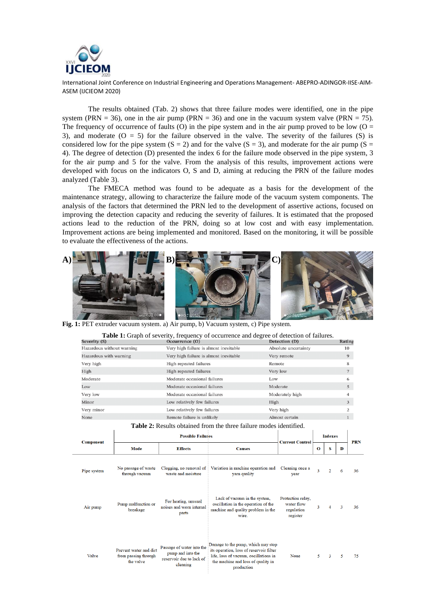

International Joint Conference on Industrial Engineering and Operations Management- ABEPRO-ADINGOR-IISE-AIM-ASEM (IJCIEOM 2020)

The results obtained (Tab. 2) shows that three failure modes were identified, one in the pipe system (PRN = 36), one in the air pump (PRN = 36) and one in the vacuum system valve (PRN = 75). The frequency of occurrence of faults (O) in the pipe system and in the air pump proved to be low ( $O =$ 3), and moderate  $(O = 5)$  for the failure observed in the valve. The severity of the failures  $(S)$  is considered low for the pipe system  $(S = 2)$  and for the valve  $(S = 3)$ , and moderate for the air pump  $(S = 1)$ 4). The degree of detection (D) presented the index 6 for the failure mode observed in the pipe system, 3 for the air pump and 5 for the valve. From the analysis of this results, improvement actions were developed with focus on the indicators O, S and D, aiming at reducing the PRN of the failure modes analyzed (Table 3).

The FMECA method was found to be adequate as a basis for the development of the maintenance strategy, allowing to characterize the failure mode of the vacuum system components. The analysis of the factors that determined the PRN led to the development of assertive actions, focused on improving the detection capacity and reducing the severity of failures. It is estimated that the proposed actions lead to the reduction of the PRN, doing so at low cost and with easy implementation. Improvement actions are being implemented and monitored. Based on the monitoring, it will be possible to evaluate the effectiveness of the actions.



**Fig. 1:** PET extruder vacuum system. a) Air pump, b) Vacuum system, c) Pipe system. **b**

|                           | <b>Table 1:</b> Graph of severity, frequency of occurrence and degree of detection of failures. |                      |        |
|---------------------------|-------------------------------------------------------------------------------------------------|----------------------|--------|
| Severity (S)              | Occurrence (O)                                                                                  | Detection (D)        | Rating |
| Hazardous without warning | Very high failure is almost inevitable                                                          | Absolute uncertainty | 10     |
| Hazardous with warning    | Very high failure is almost inevitable                                                          | Very remote          | 9      |
| Very high                 | High repeated failures                                                                          | Remote               | 8      |
| High                      | High repeated failures                                                                          | Very low             | 7      |
| Moderate                  | Moderate occasional failures                                                                    | Low                  | 6      |
| Low                       | Moderate occasional failures                                                                    | Moderate             | 5      |
| Very low                  | Moderate occasional failures                                                                    | Moderately high      |        |
| Minor                     | Low relatively few failures                                                                     | High                 | 3      |
| Very minor                | Low relatively few failures                                                                     | Very high            | 2      |
| None                      | Remote failure is unlikely                                                                      | Almost certain       |        |

|             |                                       |                          | <b>Table 2:</b> Results obtained from the three failure modes identified. |                        |   |                |  |
|-------------|---------------------------------------|--------------------------|---------------------------------------------------------------------------|------------------------|---|----------------|--|
| Component   |                                       | <b>Possible Failures</b> |                                                                           | <b>Current Control</b> |   | <b>Indexes</b> |  |
|             | Mode                                  | <b>Effects</b>           | <b>Causes</b>                                                             |                        | о | s              |  |
|             |                                       |                          | Clogging, no removal of Variation in machine operation and                | Cleaning once a        |   |                |  |
| Pipe system | No passage of waste<br>through vacuum | waste and moisture       | yarn quality                                                              | vear                   |   | $\mathcal{D}$  |  |

**PRN** 

 $36$ 

 $\mathbf{D}$ 

| Air pump | Pump malfunction or<br>breakage                             | For heating, unusual<br>noises and worn internal<br>parts                              | Lack of vacuum in the system,<br>oscillation in the operation of the<br>machine and quality problem in the<br>wire.                                                        | Protection relay.<br>water flow<br>regulation<br>register | 3 | 4 | 3 | 36 |
|----------|-------------------------------------------------------------|----------------------------------------------------------------------------------------|----------------------------------------------------------------------------------------------------------------------------------------------------------------------------|-----------------------------------------------------------|---|---|---|----|
| Valve    | Prevent water and dirt<br>from passing through<br>the valve | Passage of water into the<br>pump and into the<br>reservoir due to lack of<br>cleaning | Damage to the pump, which may stop<br>its operation, loss of reservoir filter<br>life, loss of vacuum, oscillations in<br>the machine and loss of quality in<br>production | None                                                      |   | 3 | 5 | 75 |